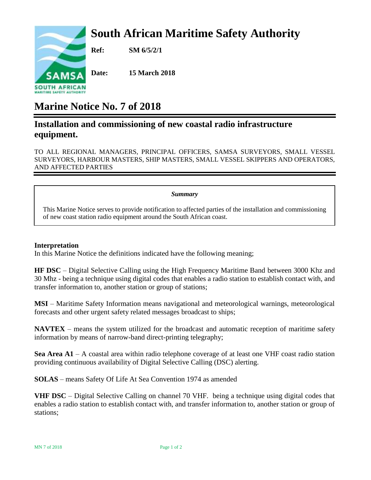# **South African Maritime Safety Authority**



**Ref: SM 6/5/2/1**

**Date: 15 March 2018**

## **Marine Notice No. 7 of 2018**

### **Installation and commissioning of new coastal radio infrastructure equipment.**

TO ALL REGIONAL MANAGERS, PRINCIPAL OFFICERS, SAMSA SURVEYORS, SMALL VESSEL SURVEYORS, HARBOUR MASTERS, SHIP MASTERS, SMALL VESSEL SKIPPERS AND OPERATORS, AND AFFECTED PARTIES

#### *Summary*

This Marine Notice serves to provide notification to affected parties of the installation and commissioning of new coast station radio equipment around the South African coast.

#### **Interpretation**

In this Marine Notice the definitions indicated have the following meaning;

**HF DSC** – Digital Selective Calling using the High Frequency Maritime Band between 3000 Khz and 30 Mhz - being a technique using digital codes that enables a radio station to establish contact with, and transfer information to, another station or group of stations;

**MSI** – Maritime Safety Information means navigational and meteorological warnings, meteorological forecasts and other urgent safety related messages broadcast to ships;

**NAVTEX** – means the system utilized for the broadcast and automatic reception of maritime safety information by means of narrow-band direct-printing telegraphy;

**Sea Area A1** – A coastal area within radio telephone coverage of at least one VHF coast radio station providing continuous availability of Digital Selective Calling (DSC) alerting.

**SOLAS** – means Safety Of Life At Sea Convention 1974 as amended

**VHF DSC** – Digital Selective Calling on channel 70 VHF. being a technique using digital codes that enables a radio station to establish contact with, and transfer information to, another station or group of stations;